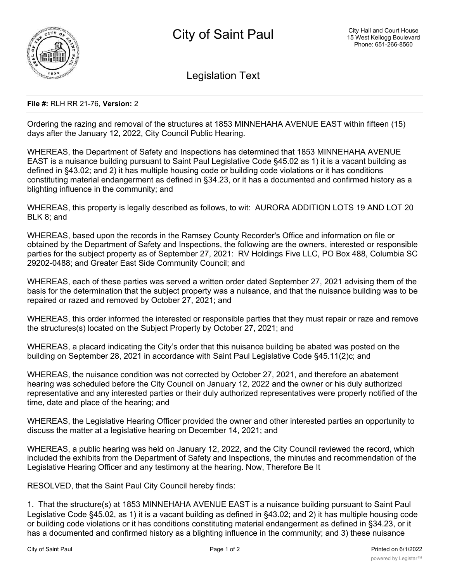

Legislation Text

## **File #:** RLH RR 21-76, **Version:** 2

Ordering the razing and removal of the structures at 1853 MINNEHAHA AVENUE EAST within fifteen (15) days after the January 12, 2022, City Council Public Hearing.

WHEREAS, the Department of Safety and Inspections has determined that 1853 MINNEHAHA AVENUE EAST is a nuisance building pursuant to Saint Paul Legislative Code §45.02 as 1) it is a vacant building as defined in §43.02; and 2) it has multiple housing code or building code violations or it has conditions constituting material endangerment as defined in §34.23, or it has a documented and confirmed history as a blighting influence in the community; and

WHEREAS, this property is legally described as follows, to wit: AURORA ADDITION LOTS 19 AND LOT 20 BLK 8; and

WHEREAS, based upon the records in the Ramsey County Recorder's Office and information on file or obtained by the Department of Safety and Inspections, the following are the owners, interested or responsible parties for the subject property as of September 27, 2021: RV Holdings Five LLC, PO Box 488, Columbia SC 29202-0488; and Greater East Side Community Council; and

WHEREAS, each of these parties was served a written order dated September 27, 2021 advising them of the basis for the determination that the subject property was a nuisance, and that the nuisance building was to be repaired or razed and removed by October 27, 2021; and

WHEREAS, this order informed the interested or responsible parties that they must repair or raze and remove the structures(s) located on the Subject Property by October 27, 2021; and

WHEREAS, a placard indicating the City's order that this nuisance building be abated was posted on the building on September 28, 2021 in accordance with Saint Paul Legislative Code §45.11(2)c; and

WHEREAS, the nuisance condition was not corrected by October 27, 2021, and therefore an abatement hearing was scheduled before the City Council on January 12, 2022 and the owner or his duly authorized representative and any interested parties or their duly authorized representatives were properly notified of the time, date and place of the hearing; and

WHEREAS, the Legislative Hearing Officer provided the owner and other interested parties an opportunity to discuss the matter at a legislative hearing on December 14, 2021; and

WHEREAS, a public hearing was held on January 12, 2022, and the City Council reviewed the record, which included the exhibits from the Department of Safety and Inspections, the minutes and recommendation of the Legislative Hearing Officer and any testimony at the hearing. Now, Therefore Be It

RESOLVED, that the Saint Paul City Council hereby finds:

1. That the structure(s) at 1853 MINNEHAHA AVENUE EAST is a nuisance building pursuant to Saint Paul Legislative Code §45.02, as 1) it is a vacant building as defined in §43.02; and 2) it has multiple housing code or building code violations or it has conditions constituting material endangerment as defined in §34.23, or it has a documented and confirmed history as a blighting influence in the community; and 3) these nuisance